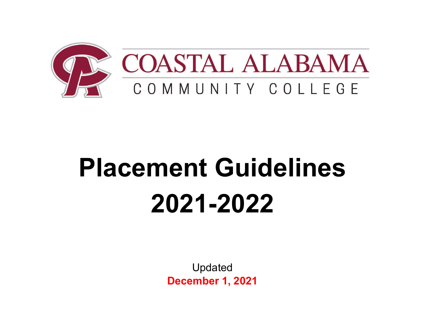

# **Placement Guidelines 2021-2022**

Updated **December 1, 2021**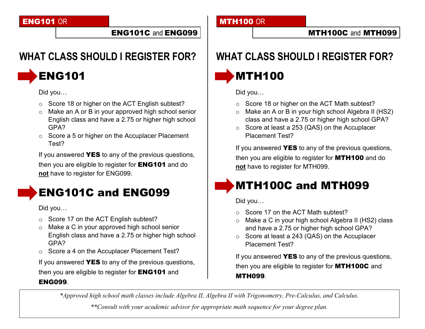#### ENG101 OR

#### ENG101C and ENG099

### **WHAT CLASS SHOULD I REGISTER FOR?**



Did you…

- o Score 18 or higher on the ACT English subtest?
- o Make an A or B in your approved high school senior English class and have a 2.75 or higher high school GPA?
- o Score a 5 or higher on the Accuplacer Placement Test?

If you answered YES to any of the previous questions, then you are eligible to register for **ENG101** and do **not** have to register for ENG099.

### ENG101C and ENG099

Did you…

- o Score 17 on the ACT English subtest?
- o Make a C in your approved high school senior English class and have a 2.75 or higher high school GPA?
- o Score a 4 on the Accuplacer Placement Test?

If you answered **YES** to any of the previous questions,

then you are eligible to register for **ENG101** and

#### ENG099.

**MTH100 OR** 

#### MTH100C and MTH099

### **WHAT CLASS SHOULD I REGISTER FOR?**

### MTH100

Did you…

- o Score 18 or higher on the ACT Math subtest?
- o Make an A or B in your high school Algebra II (HS2) class and have a 2.75 or higher high school GPA?
- o Score at least a 253 (QAS) on the Accuplacer Placement Test?

If you answered YES to any of the previous questions, then you are eligible to register for **MTH100** and do **not** have to register for MTH099.

### MTH100C and MTH099

Did you…

- o Score 17 on the ACT Math subtest?
- o Make a C in your high school Algebra II (HS2) class and have a 2.75 or higher high school GPA?
- o Score at least a 243 (QAS) on the Accuplacer Placement Test?

If you answered **YES** to any of the previous questions, then you are eligible to register for MTH100C and MTH099.

*\*Approved high school math classes include Algebra II, Algebra II with Trigonometry, Pre-Calculus, and Calculus.*

*\*\*Consult with your academic advisor for appropriate math sequence for your degree plan.*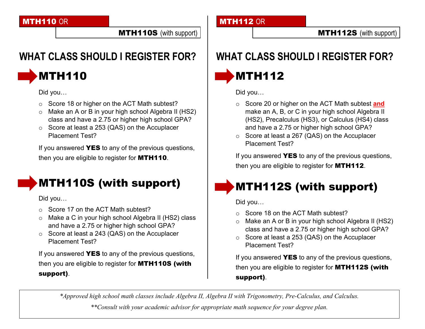#### MTH110 OR

MTH110S (with support)

### **WHAT CLASS SHOULD I REGISTER FOR?**



Did you…

- o Score 18 or higher on the ACT Math subtest?
- o Make an A or B in your high school Algebra II (HS2) class and have a 2.75 or higher high school GPA?
- o Score at least a 253 (QAS) on the Accuplacer Placement Test?

If you answered **YES** to any of the previous questions, then you are eligible to register for **MTH110**.

### MTH110S (with support)

Did you…

- o Score 17 on the ACT Math subtest?
- o Make a C in your high school Algebra II (HS2) class and have a 2.75 or higher high school GPA?
- o Score at least a 243 (QAS) on the Accuplacer Placement Test?

If you answered **YES** to any of the previous questions, then you are eligible to register for MTH110S (with support).

#### **MTH112 OR**

## **WHAT CLASS SHOULD I REGISTER FOR?**

**MTH112** 

Did you…

- o Score 20 or higher on the ACT Math subtest **and** make an A, B, or C in your high school Algebra II (HS2), Precalculus (HS3), or Calculus (HS4) class and have a 2.75 or higher high school GPA?
- o Score at least a 267 (QAS) on the Accuplacer Placement Test?

If you answered **YES** to any of the previous questions, then you are eligible to register for **MTH112**.

### MTH112S (with support)

Did you…

- o Score 18 on the ACT Math subtest?
- o Make an A or B in your high school Algebra II (HS2) class and have a 2.75 or higher high school GPA?
- o Score at least a 253 (QAS) on the Accuplacer Placement Test?

If you answered **YES** to any of the previous questions, then you are eligible to register for MTH112S (with support).

*\*Approved high school math classes include Algebra II, Algebra II with Trigonometry, Pre-Calculus, and Calculus.*

*\*\*Consult with your academic advisor for appropriate math sequence for your degree plan.*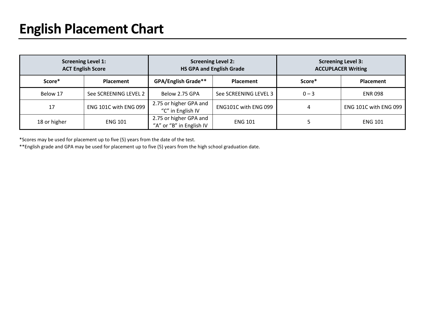| <b>Screening Level 1:</b><br><b>ACT English Score</b> |                       | <b>Screening Level 2:</b><br><b>HS GPA and English Grade</b> |                       | <b>Screening Level 3:</b><br><b>ACCUPLACER Writing</b> |                       |
|-------------------------------------------------------|-----------------------|--------------------------------------------------------------|-----------------------|--------------------------------------------------------|-----------------------|
| Score*                                                | <b>Placement</b>      | <b>GPA/English Grade**</b>                                   | Placement             | Score*                                                 | <b>Placement</b>      |
| Below 17                                              | See SCREENING LEVEL 2 | Below 2.75 GPA                                               | See SCREENING LEVEL 3 | $0 - 3$                                                | <b>ENR 098</b>        |
| 17                                                    | ENG 101C with ENG 099 | 2.75 or higher GPA and<br>"C" in English IV                  | ENG101C with ENG 099  |                                                        | ENG 101C with ENG 099 |
| 18 or higher                                          | <b>ENG 101</b>        | 2.75 or higher GPA and<br>"A" or "B" in English IV           | <b>ENG 101</b>        |                                                        | <b>ENG 101</b>        |

\*Scores may be used for placement up to five (5) years from the date of the test.

\*\*English grade and GPA may be used for placement up to five (5) years from the high school graduation date.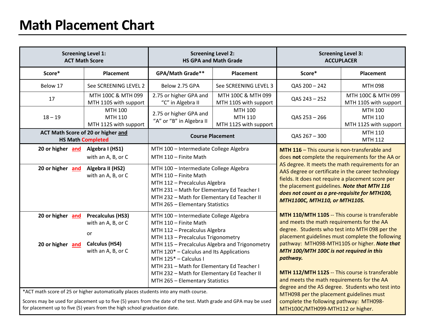### **Math Placement Chart**

| <b>Screening Level 1:</b><br><b>ACT Math Score</b>                                                                                                                                                     |                                                                                              | <b>Screening Level 2:</b><br><b>HS GPA and Math Grade</b>                                                                                                                                                                                                                                                                                                                                     |                                             | <b>Screening Level 3:</b><br><b>ACCUPLACER</b>                                                                                                                                                                                                                                                                                                                                                               |                                                    |
|--------------------------------------------------------------------------------------------------------------------------------------------------------------------------------------------------------|----------------------------------------------------------------------------------------------|-----------------------------------------------------------------------------------------------------------------------------------------------------------------------------------------------------------------------------------------------------------------------------------------------------------------------------------------------------------------------------------------------|---------------------------------------------|--------------------------------------------------------------------------------------------------------------------------------------------------------------------------------------------------------------------------------------------------------------------------------------------------------------------------------------------------------------------------------------------------------------|----------------------------------------------------|
| Score*                                                                                                                                                                                                 | Placement                                                                                    | GPA/Math Grade**                                                                                                                                                                                                                                                                                                                                                                              | Placement                                   | Score*                                                                                                                                                                                                                                                                                                                                                                                                       | Placement                                          |
| Below 17                                                                                                                                                                                               | See SCREENING LEVEL 2                                                                        | Below 2.75 GPA                                                                                                                                                                                                                                                                                                                                                                                | See SCREENING LEVEL 3                       | QAS 200 - 242                                                                                                                                                                                                                                                                                                                                                                                                | MTH 098                                            |
| 17                                                                                                                                                                                                     | MTH 100C & MTH 099<br>MTH 110S with support                                                  | 2.75 or higher GPA and<br>"C" in Algebra II                                                                                                                                                                                                                                                                                                                                                   | MTH 100C & MTH 099<br>MTH 110S with support | QAS 243 - 252                                                                                                                                                                                                                                                                                                                                                                                                | MTH 100C & MTH 099<br>MTH 110S with support        |
| $18 - 19$                                                                                                                                                                                              | MTH 100<br>MTH 110<br>MTH 112S with support                                                  | 2.75 or higher GPA and<br>"A" or "B" in Algebra II                                                                                                                                                                                                                                                                                                                                            | MTH 100<br>MTH 110<br>MTH 112S with support | QAS 253 - 266                                                                                                                                                                                                                                                                                                                                                                                                | <b>MTH 100</b><br>MTH 110<br>MTH 112S with support |
| ACT Math Score of 20 or higher and<br><b>HS Math Completed</b>                                                                                                                                         |                                                                                              | <b>Course Placement</b>                                                                                                                                                                                                                                                                                                                                                                       |                                             | QAS 267 - 300                                                                                                                                                                                                                                                                                                                                                                                                | MTH 110<br>MTH 112                                 |
| 20 or higher and                                                                                                                                                                                       | Algebra I (HS1)<br>with an A, B, or C                                                        | MTH 100 - Intermediate College Algebra<br>MTH 110 - Finite Math                                                                                                                                                                                                                                                                                                                               |                                             | MTH 116 - This course is non-transferable and<br>does not complete the requirements for the AA or                                                                                                                                                                                                                                                                                                            |                                                    |
| 20 or higher and                                                                                                                                                                                       | Algebra II (HS2)<br>with an A, B, or C                                                       | MTH 100 - Intermediate College Algebra<br>MTH 110 - Finite Math<br>MTH 112 - Precalculus Algebra<br>MTH 231 - Math for Elementary Ed Teacher I<br>MTH 232 - Math for Elementary Ed Teacher II<br>MTH 265 - Elementary Statistics                                                                                                                                                              |                                             | AS degree. It meets the math requirements for an<br>AAS degree or certificate in the career technology<br>fields. It does not require a placement score per<br>the placement guidelines. Note that MTH 116<br>does not count as a pre-requisite for MTH100,<br>MTH1100C, MTH110, or MTH110S.                                                                                                                 |                                                    |
| 20 or higher and<br>20 or higher and                                                                                                                                                                   | <b>Precalculus (HS3)</b><br>with an A, B, or C<br>or<br>Calculus (HS4)<br>with an A, B, or C | MTH 100 - Intermediate College Algebra<br>MTH 110 - Finite Math<br>MTH 112 - Precalculus Algebra<br>MTH 113 - Precalculus Trigonometry<br>MTH 115 - Precalculus Algebra and Trigonometry<br>MTH 120* - Calculus and Its Applications<br>MTH 125* - Calculus I<br>MTH 231 - Math for Elementary Ed Teacher I<br>MTH 232 - Math for Elementary Ed Teacher II<br>MTH 265 - Elementary Statistics |                                             | MTH 110/MTH 110S -- This course is transferable<br>and meets the math requirements for the AA<br>degree. Students who test into MTH 098 per the<br>placement guidelines must complete the following<br>pathway: MTH098-MTH110S or higher. Note that<br>MTH 100/MTH 100C is not required in this<br>pathway.<br>MTH 112/MTH 112S -- This course is transferable<br>and meets the math requirements for the AA |                                                    |
| *ACT math score of 25 or higher automatically places students into any math course.<br>Scores may be used for placement up to five (5) years from the date of the test. Math grade and GPA may be used |                                                                                              |                                                                                                                                                                                                                                                                                                                                                                                               |                                             | degree and the AS degree. Students who test into<br>MTH098 per the placement guidelines must<br>complete the following pathway: MTH098-                                                                                                                                                                                                                                                                      |                                                    |

MTH100C/MTH099-MTH112 or higher.

for placement up to five (5) years from the high school graduation date.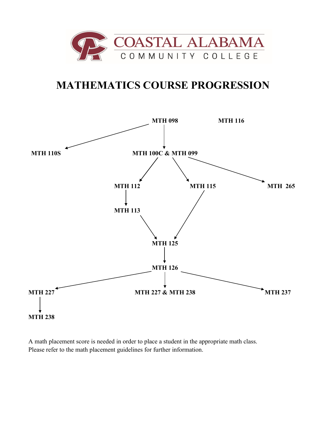

#### **MATHEMATICS COURSE PROGRESSION**



A math placement score is needed in order to place a student in the appropriate math class. Please refer to the math placement guidelines for further information.